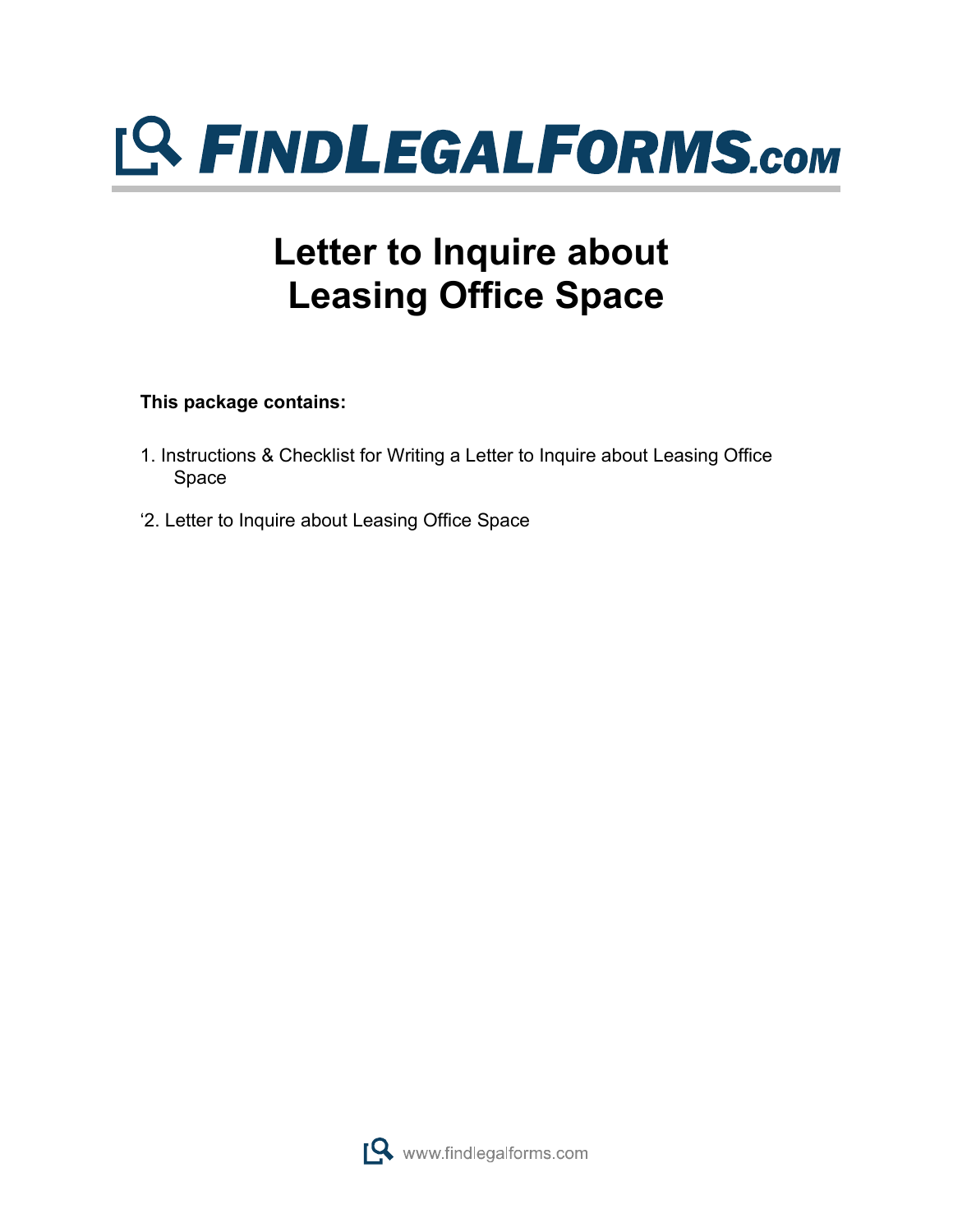

## **Letter to Inquire about Leasing Office Space**

**This package contains:**

- 1. Instructions & Checklist for Writing a Letter to Inquire about Leasing Office Space
- '2. Letter to Inquire about Leasing Office Space

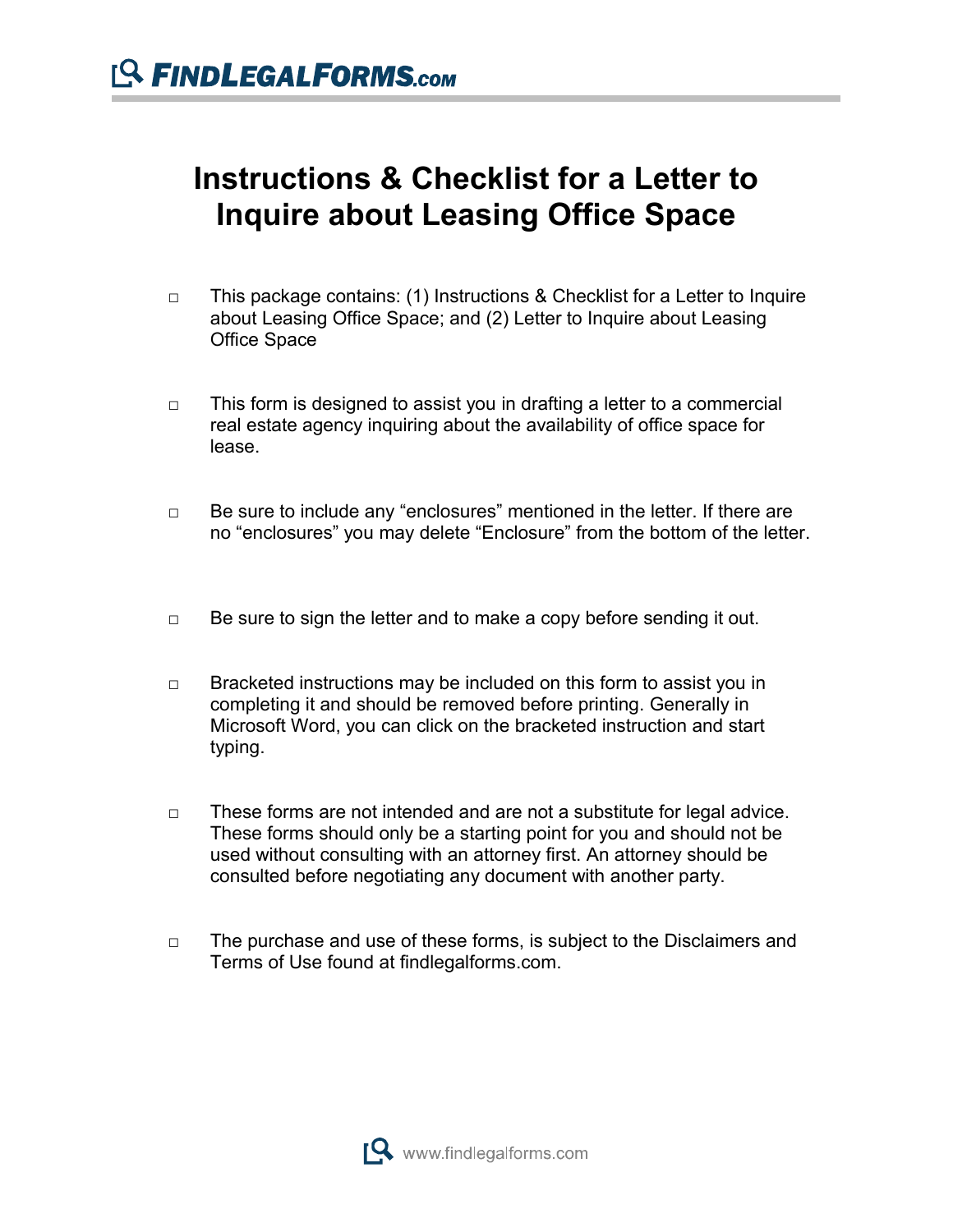## **Instructions & Checklist for a Letter to Inquire about Leasing Office Space**

- □ This package contains: (1) Instructions & Checklist for a Letter to Inquire about Leasing Office Space; and (2) Letter to Inquire about Leasing Office Space
- $\Box$  This form is designed to assist you in drafting a letter to a commercial real estate agency inquiring about the availability of office space for lease.
- □ Be sure to include any "enclosures" mentioned in the letter. If there are no "enclosures" you may delete "Enclosure" from the bottom of the letter.
- $\Box$  Be sure to sign the letter and to make a copy before sending it out.
- $\Box$  Bracketed instructions may be included on this form to assist you in completing it and should be removed before printing. Generally in Microsoft Word, you can click on the bracketed instruction and start typing.
- $\Box$  These forms are not intended and are not a substitute for legal advice. These forms should only be a starting point for you and should not be used without consulting with an attorney first. An attorney should be consulted before negotiating any document with another party.
- □ The purchase and use of these forms, is subject to the Disclaimers and Terms of Use found at findlegalforms.com.